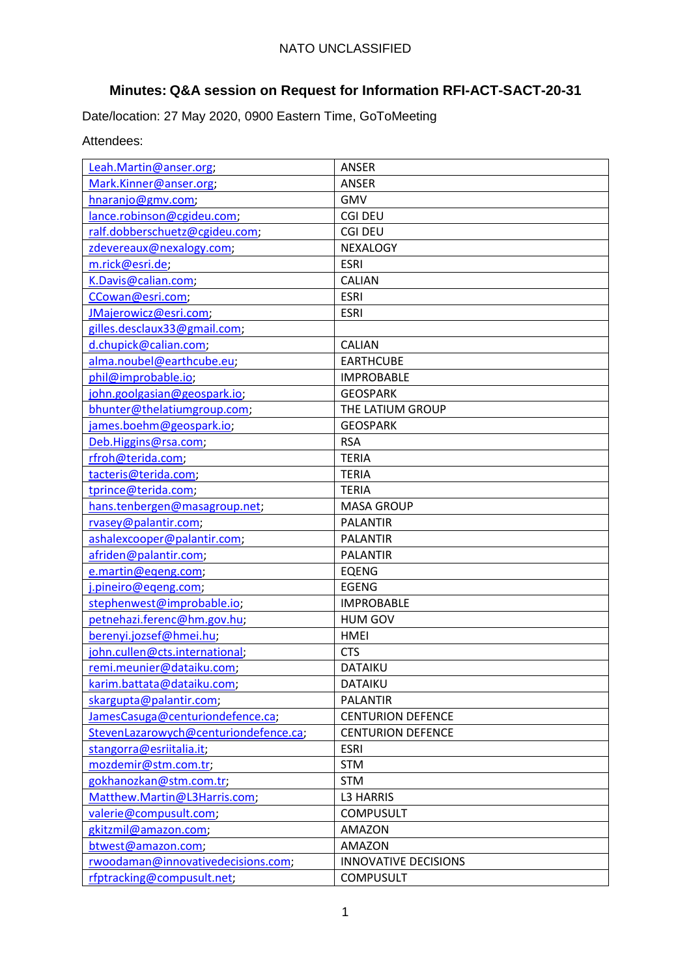# **Minutes: Q&A session on Request for Information RFI-ACT-SACT-20-31**

Date/location: 27 May 2020, 0900 Eastern Time, GoToMeeting

## Attendees:

| Leah.Martin@anser.org;                | <b>ANSER</b>                |
|---------------------------------------|-----------------------------|
| Mark.Kinner@anser.org;                | <b>ANSER</b>                |
| hnaranjo@gmv.com;                     | <b>GMV</b>                  |
| lance.robinson@cgideu.com;            | <b>CGI DEU</b>              |
| ralf.dobberschuetz@cgideu.com;        | <b>CGI DEU</b>              |
| zdevereaux@nexalogy.com;              | NEXALOGY                    |
| m.rick@esri.de;                       | <b>ESRI</b>                 |
| K.Davis@calian.com;                   | CALIAN                      |
| CCowan@esri.com;                      | <b>ESRI</b>                 |
| JMajerowicz@esri.com;                 | <b>ESRI</b>                 |
| gilles.desclaux33@gmail.com;          |                             |
| d.chupick@calian.com;                 | CALIAN                      |
| alma.noubel@earthcube.eu;             | <b>EARTHCUBE</b>            |
| phil@improbable.io;                   | <b>IMPROBABLE</b>           |
| john.goolgasian@geospark.io;          | <b>GEOSPARK</b>             |
| bhunter@thelatiumgroup.com;           | THE LATIUM GROUP            |
| james.boehm@geospark.io;              | <b>GEOSPARK</b>             |
| Deb.Higgins@rsa.com;                  | <b>RSA</b>                  |
| rfroh@terida.com;                     | <b>TERIA</b>                |
| tacteris@terida.com;                  | <b>TERIA</b>                |
| tprince@terida.com;                   | <b>TERIA</b>                |
| hans.tenbergen@masagroup.net;         | <b>MASA GROUP</b>           |
| rvasey@palantir.com;                  | <b>PALANTIR</b>             |
| ashalexcooper@palantir.com;           | <b>PALANTIR</b>             |
| afriden@palantir.com;                 | <b>PALANTIR</b>             |
| e.martin@eqeng.com;                   | <b>EQENG</b>                |
| j.pineiro@eqeng.com;                  | <b>EGENG</b>                |
| stephenwest@improbable.io;            | <b>IMPROBABLE</b>           |
| petnehazi.ferenc@hm.gov.hu;           | <b>HUM GOV</b>              |
| berenyi.jozsef@hmei.hu;               | <b>HMEI</b>                 |
| john.cullen@cts.international;        | <b>CTS</b>                  |
| remi.meunier@dataiku.com;             | <b>DATAIKU</b>              |
| karim.battata@dataiku.com;            | <b>DATAIKU</b>              |
| skargupta@palantir.com;               | <b>PALANTIR</b>             |
| JamesCasuga@centuriondefence.ca;      | <b>CENTURION DEFENCE</b>    |
| StevenLazarowych@centuriondefence.ca; | <b>CENTURION DEFENCE</b>    |
| stangorra@esriitalia.it;              | <b>ESRI</b>                 |
| mozdemir@stm.com.tr;                  | <b>STM</b>                  |
| gokhanozkan@stm.com.tr;               | <b>STM</b>                  |
| Matthew.Martin@L3Harris.com;          | <b>L3 HARRIS</b>            |
| valerie@compusult.com;                | <b>COMPUSULT</b>            |
| gkitzmil@amazon.com;                  | <b>AMAZON</b>               |
| btwest@amazon.com;                    | <b>AMAZON</b>               |
| rwoodaman@innovativedecisions.com;    | <b>INNOVATIVE DECISIONS</b> |
| rfptracking@compusult.net;            | <b>COMPUSULT</b>            |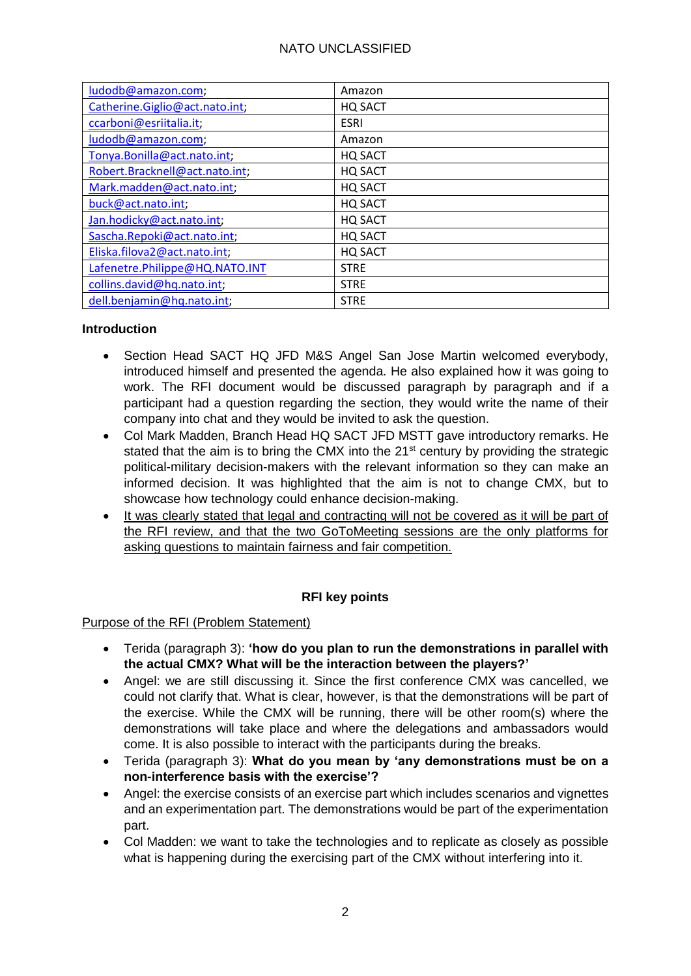| ludodb@amazon.com;             | Amazon      |
|--------------------------------|-------------|
| Catherine.Giglio@act.nato.int; | HQ SACT     |
| ccarboni@esriitalia.it;        | <b>ESRI</b> |
| ludodb@amazon.com;             | Amazon      |
| Tonya.Bonilla@act.nato.int;    | HQ SACT     |
| Robert.Bracknell@act.nato.int; | HQ SACT     |
| Mark.madden@act.nato.int;      | HQ SACT     |
| buck@act.nato.int;             | HQ SACT     |
| Jan.hodicky@act.nato.int;      | HQ SACT     |
| Sascha.Repoki@act.nato.int;    | HQ SACT     |
| Eliska.filova2@act.nato.int;   | HQ SACT     |
| Lafenetre.Philippe@HQ.NATO.INT | <b>STRE</b> |
| collins.david@hq.nato.int;     | <b>STRE</b> |
| dell.benjamin@hq.nato.int;     | <b>STRE</b> |

#### **Introduction**

- Section Head SACT HQ JFD M&S Angel San Jose Martin welcomed everybody, introduced himself and presented the agenda. He also explained how it was going to work. The RFI document would be discussed paragraph by paragraph and if a participant had a question regarding the section, they would write the name of their company into chat and they would be invited to ask the question.
- Col Mark Madden, Branch Head HQ SACT JFD MSTT gave introductory remarks. He stated that the aim is to bring the CMX into the 21<sup>st</sup> century by providing the strategic political-military decision-makers with the relevant information so they can make an informed decision. It was highlighted that the aim is not to change CMX, but to showcase how technology could enhance decision-making.
- It was clearly stated that legal and contracting will not be covered as it will be part of the RFI review, and that the two GoToMeeting sessions are the only platforms for asking questions to maintain fairness and fair competition.

#### **RFI key points**

#### Purpose of the RFI (Problem Statement)

- Terida (paragraph 3): **'how do you plan to run the demonstrations in parallel with the actual CMX? What will be the interaction between the players?'**
- Angel: we are still discussing it. Since the first conference CMX was cancelled, we could not clarify that. What is clear, however, is that the demonstrations will be part of the exercise. While the CMX will be running, there will be other room(s) where the demonstrations will take place and where the delegations and ambassadors would come. It is also possible to interact with the participants during the breaks.
- Terida (paragraph 3): **What do you mean by 'any demonstrations must be on a non-interference basis with the exercise'?**
- Angel: the exercise consists of an exercise part which includes scenarios and vignettes and an experimentation part. The demonstrations would be part of the experimentation part.
- Col Madden: we want to take the technologies and to replicate as closely as possible what is happening during the exercising part of the CMX without interfering into it.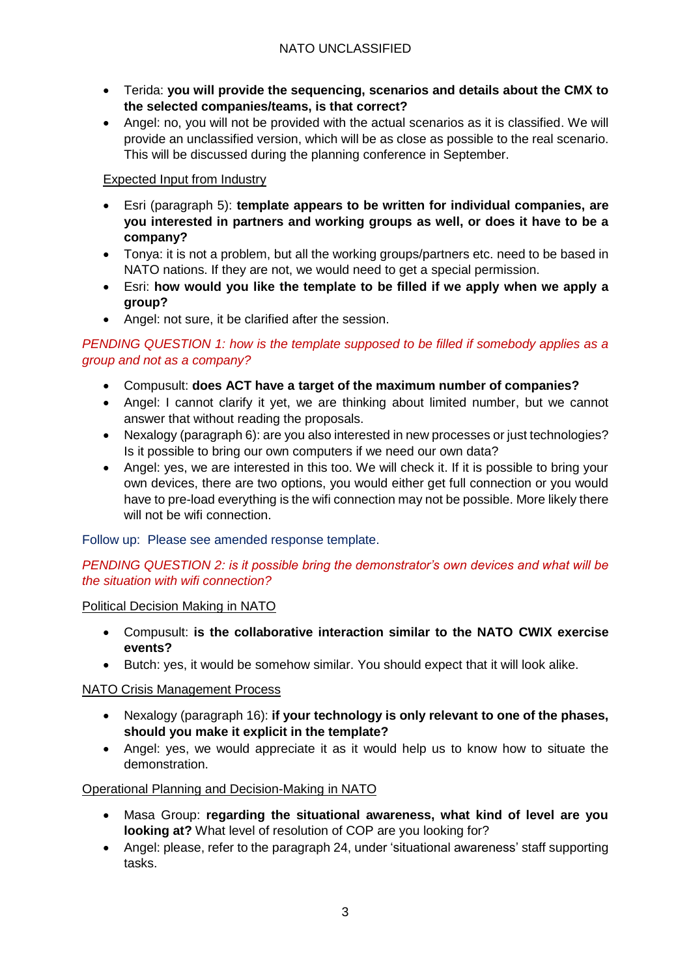- Terida: **you will provide the sequencing, scenarios and details about the CMX to the selected companies/teams, is that correct?**
- Angel: no, you will not be provided with the actual scenarios as it is classified. We will provide an unclassified version, which will be as close as possible to the real scenario. This will be discussed during the planning conference in September.

## Expected Input from Industry

- Esri (paragraph 5): **template appears to be written for individual companies, are you interested in partners and working groups as well, or does it have to be a company?**
- Tonya: it is not a problem, but all the working groups/partners etc. need to be based in NATO nations. If they are not, we would need to get a special permission.
- Esri: **how would you like the template to be filled if we apply when we apply a group?**
- Angel: not sure, it be clarified after the session.

## *PENDING QUESTION 1: how is the template supposed to be filled if somebody applies as a group and not as a company?*

- Compusult: **does ACT have a target of the maximum number of companies?**
- Angel: I cannot clarify it yet, we are thinking about limited number, but we cannot answer that without reading the proposals.
- Nexalogy (paragraph 6): are you also interested in new processes or just technologies? Is it possible to bring our own computers if we need our own data?
- Angel: yes, we are interested in this too. We will check it. If it is possible to bring your own devices, there are two options, you would either get full connection or you would have to pre-load everything is the wifi connection may not be possible. More likely there will not be wifi connection.

## Follow up: Please see amended response template.

## *PENDING QUESTION 2: is it possible bring the demonstrator's own devices and what will be the situation with wifi connection?*

## Political Decision Making in NATO

- Compusult: **is the collaborative interaction similar to the NATO CWIX exercise events?**
- Butch: yes, it would be somehow similar. You should expect that it will look alike.

# NATO Crisis Management Process

- Nexalogy (paragraph 16): **if your technology is only relevant to one of the phases, should you make it explicit in the template?**
- Angel: yes, we would appreciate it as it would help us to know how to situate the demonstration.

# Operational Planning and Decision-Making in NATO

- Masa Group: **regarding the situational awareness, what kind of level are you looking at?** What level of resolution of COP are you looking for?
- Angel: please, refer to the paragraph 24, under 'situational awareness' staff supporting tasks.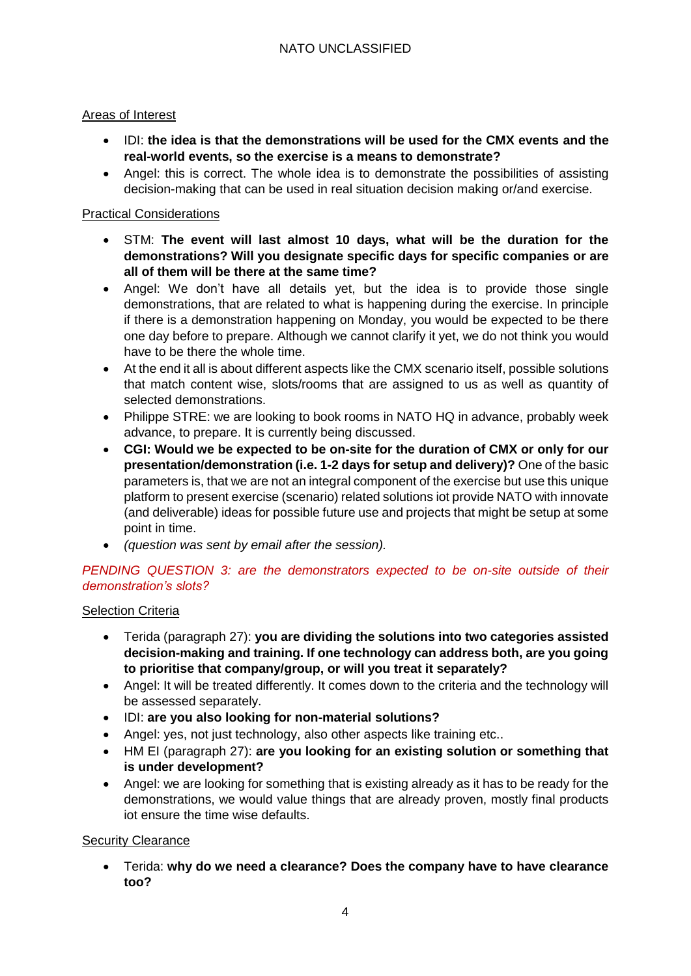## Areas of Interest

- IDI: **the idea is that the demonstrations will be used for the CMX events and the real-world events, so the exercise is a means to demonstrate?**
- Angel: this is correct. The whole idea is to demonstrate the possibilities of assisting decision-making that can be used in real situation decision making or/and exercise.

## Practical Considerations

- STM: **The event will last almost 10 days, what will be the duration for the demonstrations? Will you designate specific days for specific companies or are all of them will be there at the same time?**
- Angel: We don't have all details yet, but the idea is to provide those single demonstrations, that are related to what is happening during the exercise. In principle if there is a demonstration happening on Monday, you would be expected to be there one day before to prepare. Although we cannot clarify it yet, we do not think you would have to be there the whole time.
- At the end it all is about different aspects like the CMX scenario itself, possible solutions that match content wise, slots/rooms that are assigned to us as well as quantity of selected demonstrations.
- Philippe STRE: we are looking to book rooms in NATO HQ in advance, probably week advance, to prepare. It is currently being discussed.
- **CGI: Would we be expected to be on-site for the duration of CMX or only for our presentation/demonstration (i.e. 1-2 days for setup and delivery)?** One of the basic parameters is, that we are not an integral component of the exercise but use this unique platform to present exercise (scenario) related solutions iot provide NATO with innovate (and deliverable) ideas for possible future use and projects that might be setup at some point in time.
- *(question was sent by email after the session).*

## *PENDING QUESTION 3: are the demonstrators expected to be on-site outside of their demonstration's slots?*

## Selection Criteria

- Terida (paragraph 27): **you are dividing the solutions into two categories assisted decision-making and training. If one technology can address both, are you going to prioritise that company/group, or will you treat it separately?**
- Angel: It will be treated differently. It comes down to the criteria and the technology will be assessed separately.
- IDI: **are you also looking for non-material solutions?**
- Angel: yes, not just technology, also other aspects like training etc..
- HM EI (paragraph 27): **are you looking for an existing solution or something that is under development?**
- Angel: we are looking for something that is existing already as it has to be ready for the demonstrations, we would value things that are already proven, mostly final products iot ensure the time wise defaults.

## Security Clearance

 Terida: **why do we need a clearance? Does the company have to have clearance too?**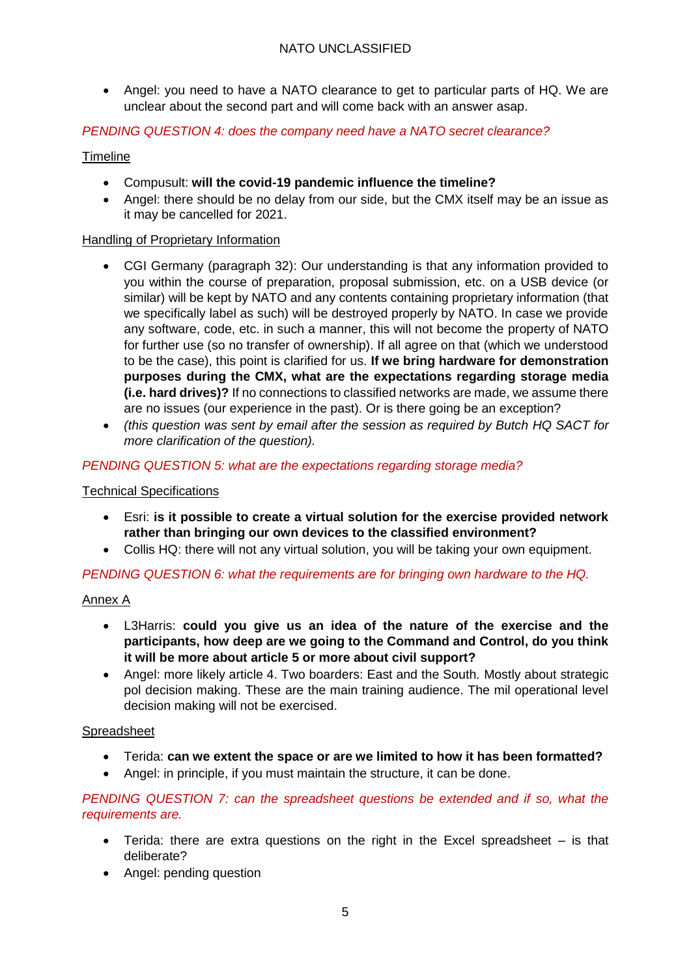Angel: you need to have a NATO clearance to get to particular parts of HQ. We are unclear about the second part and will come back with an answer asap.

#### *PENDING QUESTION 4: does the company need have a NATO secret clearance?*

#### Timeline

- Compusult: **will the covid-19 pandemic influence the timeline?**
- Angel: there should be no delay from our side, but the CMX itself may be an issue as it may be cancelled for 2021.

#### Handling of Proprietary Information

- CGI Germany (paragraph 32): Our understanding is that any information provided to you within the course of preparation, proposal submission, etc. on a USB device (or similar) will be kept by NATO and any contents containing proprietary information (that we specifically label as such) will be destroyed properly by NATO. In case we provide any software, code, etc. in such a manner, this will not become the property of NATO for further use (so no transfer of ownership). If all agree on that (which we understood to be the case), this point is clarified for us. **If we bring hardware for demonstration purposes during the CMX, what are the expectations regarding storage media (i.e. hard drives)?** If no connections to classified networks are made, we assume there are no issues (our experience in the past). Or is there going be an exception?
- *(this question was sent by email after the session as required by Butch HQ SACT for more clarification of the question).*

#### *PENDING QUESTION 5: what are the expectations regarding storage media?*

#### Technical Specifications

- Esri: **is it possible to create a virtual solution for the exercise provided network rather than bringing our own devices to the classified environment?**
- Collis HQ: there will not any virtual solution, you will be taking your own equipment.

#### *PENDING QUESTION 6: what the requirements are for bringing own hardware to the HQ.*

#### Annex A

- L3Harris: **could you give us an idea of the nature of the exercise and the participants, how deep are we going to the Command and Control, do you think it will be more about article 5 or more about civil support?**
- Angel: more likely article 4. Two boarders: East and the South. Mostly about strategic pol decision making. These are the main training audience. The mil operational level decision making will not be exercised.

#### Spreadsheet

- Terida: **can we extent the space or are we limited to how it has been formatted?**
- Angel: in principle, if you must maintain the structure, it can be done.

*PENDING QUESTION 7: can the spreadsheet questions be extended and if so, what the requirements are.*

- Terida: there are extra questions on the right in the Excel spreadsheet is that deliberate?
- Angel: pending question